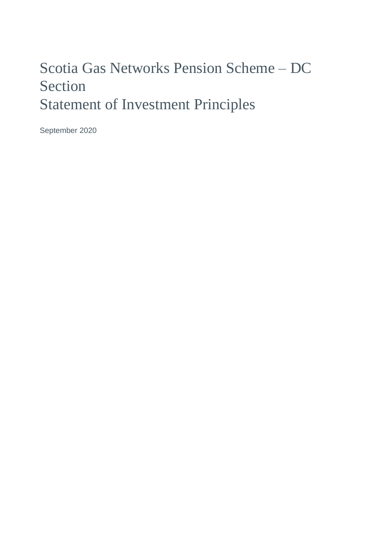# Scotia Gas Networks Pension Scheme – DC Section Statement of Investment Principles

September 2020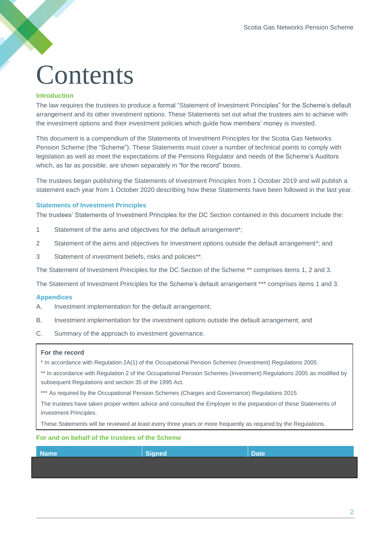# **Contents**

#### **Introduction**

The law requires the trustees to produce a formal "Statement of Investment Principles" for the Scheme's default arrangement and its other investment options. These Statements set out what the trustees aim to achieve with the investment options and their investment policies which guide how members' money is invested.

This document is a compendium of the Statements of Investment Principles for the Scotia Gas Networks Pension Scheme (the "Scheme"). These Statements must cover a number of technical points to comply with legislation as well as meet the expectations of the Pensions Regulator and needs of the Scheme's Auditors which, as far as possible, are shown separately in "for the record" boxes.

The trustees began publishing the Statements of Investment Principles from 1 October 2019 and will publish a statement each year from 1 October 2020 describing how these Statements have been followed in the last year.

#### **Statements of Investment Principles**

The trustees' Statements of Investment Principles for the DC Section contained in this document include the:

- 1 Statement of the aims and objectives for the default arrangement\*;
- 2 Statement of the aims and objectives for investment options outside the default arrangement\*; and
- 3 Statement of investment beliefs, risks and policies\*\*.

The Statement of Investment Principles for the DC Section of the Scheme \*\* comprises items 1, 2 and 3.

The Statement of Investment Principles for the Scheme's default arrangement \*\*\* comprises items 1 and 3.

#### **Appendices**

- A. Investment implementation for the default arrangement;
- B. Investment implementation for the investment options outside the default arrangement; and
- C. Summary of the approach to investment governance.

#### **For the record**

\* In accordance with Regulation 2A(1) of the Occupational Pension Schemes (Investment) Regulations 2005.

\*\* In accordance with Regulation 2 of the Occupational Pension Schemes (Investment) Regulations 2005 as modified by subsequent Regulations and section 35 of the 1995 Act.

\*\*\* As required by the Occupational Pension Schemes (Charges and Governance) Regulations 2015

The trustees have taken proper written advice and consulted the Employer in the preparation of these Statements of investment Principles.

These Statements will be reviewed at least every three years or more frequently as required by the Regulations.

#### **For and on behalf of the trustees of the Scheme**

| <b>Name</b> | Signed | Date |
|-------------|--------|------|
|             |        |      |
|             |        |      |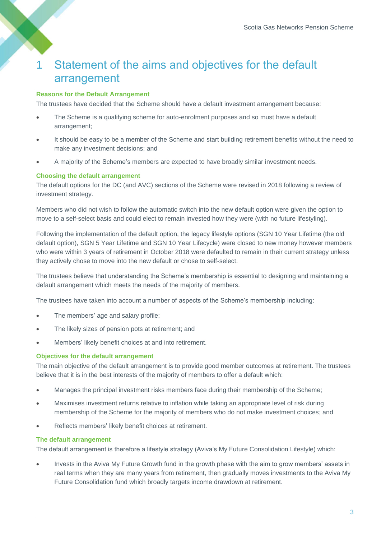### 1 Statement of the aims and objectives for the default arrangement

#### **Reasons for the Default Arrangement**

The trustees have decided that the Scheme should have a default investment arrangement because:

- The Scheme is a qualifying scheme for auto-enrolment purposes and so must have a default arrangement;
- It should be easy to be a member of the Scheme and start building retirement benefits without the need to make any investment decisions; and
- A majority of the Scheme's members are expected to have broadly similar investment needs.

#### **Choosing the default arrangement**

The default options for the DC (and AVC) sections of the Scheme were revised in 2018 following a review of investment strategy.

Members who did not wish to follow the automatic switch into the new default option were given the option to move to a self-select basis and could elect to remain invested how they were (with no future lifestyling).

Following the implementation of the default option, the legacy lifestyle options (SGN 10 Year Lifetime (the old default option), SGN 5 Year Lifetime and SGN 10 Year Lifecycle) were closed to new money however members who were within 3 years of retirement in October 2018 were defaulted to remain in their current strategy unless they actively chose to move into the new default or chose to self-select.

The trustees believe that understanding the Scheme's membership is essential to designing and maintaining a default arrangement which meets the needs of the majority of members.

The trustees have taken into account a number of aspects of the Scheme's membership including:

- The members' age and salary profile;
- The likely sizes of pension pots at retirement; and
- Members' likely benefit choices at and into retirement.

#### **Objectives for the default arrangement**

The main objective of the default arrangement is to provide good member outcomes at retirement. The trustees believe that it is in the best interests of the majority of members to offer a default which:

- Manages the principal investment risks members face during their membership of the Scheme;
- Maximises investment returns relative to inflation while taking an appropriate level of risk during membership of the Scheme for the majority of members who do not make investment choices; and
- Reflects members' likely benefit choices at retirement.

#### **The default arrangement**

The default arrangement is therefore a lifestyle strategy (Aviva's My Future Consolidation Lifestyle) which:

• Invests in the Aviva My Future Growth fund in the growth phase with the aim to grow members' assets in real terms when they are many years from retirement, then gradually moves investments to the Aviva My Future Consolidation fund which broadly targets income drawdown at retirement.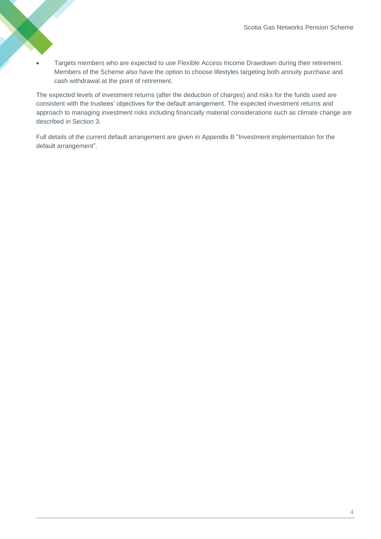• Targets members who are expected to use Flexible Access Income Drawdown during their retirement. Members of the Scheme also have the option to choose lifestyles targeting both annuity purchase and cash withdrawal at the point of retirement.

The expected levels of investment returns (after the deduction of charges) and risks for the funds used are consistent with the trustees' objectives for the default arrangement. The expected investment returns and approach to managing investment risks including financially material considerations such as climate change are described in Section 3.

Full details of the current default arrangement are given in Appendix B "Investment implementation for the default arrangement".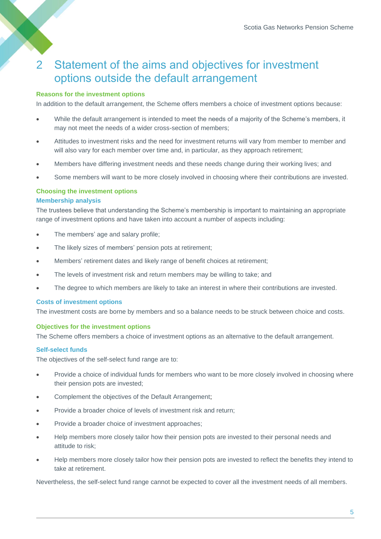### 2 Statement of the aims and objectives for investment options outside the default arrangement

#### **Reasons for the investment options**

In addition to the default arrangement, the Scheme offers members a choice of investment options because:

- While the default arrangement is intended to meet the needs of a majority of the Scheme's members, it may not meet the needs of a wider cross-section of members;
- Attitudes to investment risks and the need for investment returns will vary from member to member and will also vary for each member over time and, in particular, as they approach retirement;
- Members have differing investment needs and these needs change during their working lives; and
- Some members will want to be more closely involved in choosing where their contributions are invested.

#### **Choosing the investment options**

#### **Membership analysis**

The trustees believe that understanding the Scheme's membership is important to maintaining an appropriate range of investment options and have taken into account a number of aspects including:

- The members' age and salary profile;
- The likely sizes of members' pension pots at retirement;
- Members' retirement dates and likely range of benefit choices at retirement;
- The levels of investment risk and return members may be willing to take; and
- The degree to which members are likely to take an interest in where their contributions are invested.

#### **Costs of investment options**

The investment costs are borne by members and so a balance needs to be struck between choice and costs.

#### **Objectives for the investment options**

The Scheme offers members a choice of investment options as an alternative to the default arrangement.

#### **Self-select funds**

The objectives of the self-select fund range are to:

- Provide a choice of individual funds for members who want to be more closely involved in choosing where their pension pots are invested;
- Complement the objectives of the Default Arrangement;
- Provide a broader choice of levels of investment risk and return;
- Provide a broader choice of investment approaches;
- Help members more closely tailor how their pension pots are invested to their personal needs and attitude to risk;
- Help members more closely tailor how their pension pots are invested to reflect the benefits they intend to take at retirement.

Nevertheless, the self-select fund range cannot be expected to cover all the investment needs of all members.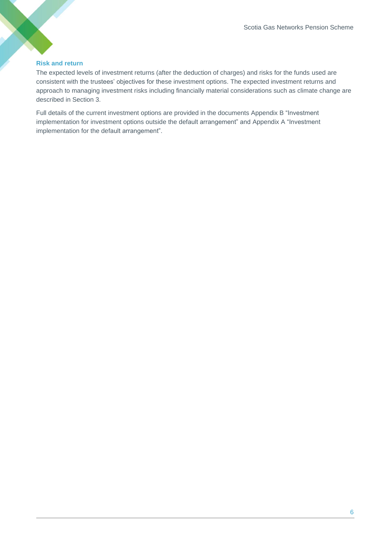#### **Risk and return**

The expected levels of investment returns (after the deduction of charges) and risks for the funds used are consistent with the trustees' objectives for these investment options. The expected investment returns and approach to managing investment risks including financially material considerations such as climate change are described in Section 3.

Full details of the current investment options are provided in the documents Appendix B "Investment implementation for investment options outside the default arrangement" and Appendix A "Investment implementation for the default arrangement".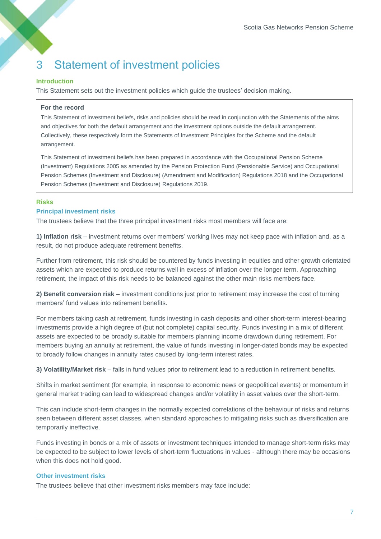# 3 Statement of investment policies

#### **Introduction**

This Statement sets out the investment policies which guide the trustees' decision making.

#### **For the record**

This Statement of investment beliefs, risks and policies should be read in conjunction with the Statements of the aims and objectives for both the default arrangement and the investment options outside the default arrangement. Collectively, these respectively form the Statements of Investment Principles for the Scheme and the default arrangement.

This Statement of investment beliefs has been prepared in accordance with the Occupational Pension Scheme (Investment) Regulations 2005 as amended by the Pension Protection Fund (Pensionable Service) and Occupational Pension Schemes (Investment and Disclosure) (Amendment and Modification) Regulations 2018 and the Occupational Pension Schemes (Investment and Disclosure) Regulations 2019.

#### **Risks** (Amendment) Regulations 2019.

#### **Principal investment risks**

The trustees believe that the three principal investment risks most members will face are:

**1) Inflation risk** – investment returns over members' working lives may not keep pace with inflation and, as a result, do not produce adequate retirement benefits.

Further from retirement, this risk should be countered by funds investing in equities and other growth orientated assets which are expected to produce returns well in excess of inflation over the longer term. Approaching retirement, the impact of this risk needs to be balanced against the other main risks members face.

**2) Benefit conversion risk** – investment conditions just prior to retirement may increase the cost of turning members' fund values into retirement benefits.

For members taking cash at retirement, funds investing in cash deposits and other short-term interest-bearing investments provide a high degree of (but not complete) capital security. Funds investing in a mix of different assets are expected to be broadly suitable for members planning income drawdown during retirement. For members buying an annuity at retirement, the value of funds investing in longer-dated bonds may be expected to broadly follow changes in annuity rates caused by long-term interest rates.

**3) Volatility/Market risk** – falls in fund values prior to retirement lead to a reduction in retirement benefits.

Shifts in market sentiment (for example, in response to economic news or geopolitical events) or momentum in general market trading can lead to widespread changes and/or volatility in asset values over the short-term.

This can include short-term changes in the normally expected correlations of the behaviour of risks and returns seen between different asset classes, when standard approaches to mitigating risks such as diversification are temporarily ineffective.

Funds investing in bonds or a mix of assets or investment techniques intended to manage short-term risks may be expected to be subject to lower levels of short-term fluctuations in values - although there may be occasions when this does not hold good.

#### **Other investment risks**

The trustees believe that other investment risks members may face include: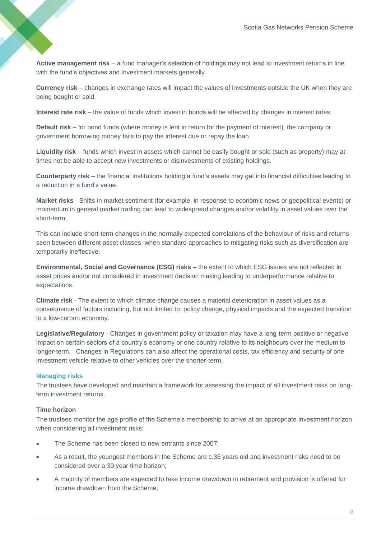**Active management risk** – a fund manager's selection of holdings may not lead to investment returns in line with the fund's objectives and investment markets generally.

**Currency risk** – changes in exchange rates will impact the values of investments outside the UK when they are being bought or sold.

**Interest rate risk** – the value of funds which invest in bonds will be affected by changes in interest rates.

**Default risk –** for bond funds (where money is lent in return for the payment of interest), the company or government borrowing money fails to pay the interest due or repay the loan.

**Liquidity risk** – funds which invest in assets which cannot be easily bought or sold (such as property) may at times not be able to accept new investments or disinvestments of existing holdings.

**Counterparty risk** – the financial institutions holding a fund's assets may get into financial difficulties leading to a reduction in a fund's value.

**Market risks** - Shifts in market sentiment (for example, in response to economic news or geopolitical events) or momentum in general market trading can lead to widespread changes and/or volatility in asset values over the short-term.

This can include short-term changes in the normally expected correlations of the behaviour of risks and returns seen between different asset classes, when standard approaches to mitigating risks such as diversification are temporarily ineffective.

**Environmental, Social and Governance (ESG) risks** – the extent to which ESG issues are not reflected in asset prices and/or not considered in investment decision making leading to underperformance relative to expectations.

**Climate risk** - The extent to which climate change causes a material deterioration in asset values as a consequence of factors including, but not limited to: policy change, physical impacts and the expected transition to a low-carbon economy.

**Legislative/Regulatory** - Changes in government policy or taxation may have a long-term positive or negative impact on certain sectors of a country's economy or one country relative to its neighbours over the medium to longer-term. Changes in Regulations can also affect the operational costs, tax efficiency and security of one investment vehicle relative to other vehicles over the shorter-term.

#### **Managing risks**

The trustees have developed and maintain a framework for assessing the impact of all investment risks on longterm investment returns.

#### **Time horizon**

The trustees monitor the age profile of the Scheme's membership to arrive at an appropriate investment horizon when considering all investment risks:

- The Scheme has been closed to new entrants since 2007;
- As a result, the youngest members in the Scheme are c.35 years old and investment risks need to be considered over a 30 year time horizon;
- A majority of members are expected to take income drawdown in retirement and provision is offered for income drawdown from the Scheme;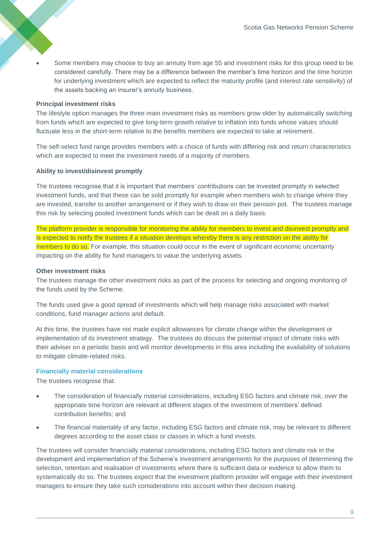• Some members may choose to buy an annuity from age 55 and investment risks for this group need to be considered carefully. There may be a difference between the member's time horizon and the time horizon for underlying investment which are expected to reflect the maturity profile (and interest rate sensitivity) of the assets backing an insurer's annuity business.

#### **Principal investment risks**

The lifestyle option manages the three main investment risks as members grow older by automatically switching from funds which are expected to give long-term growth relative to inflation into funds whose values should fluctuate less in the short-term relative to the benefits members are expected to take at retirement.

The self-select fund range provides members with a choice of funds with differing risk and return characteristics which are expected to meet the investment needs of a majority of members.

#### **Ability to invest/disinvest promptly**

The trustees recognise that it is important that members' contributions can be invested promptly in selected investment funds, and that these can be sold promptly for example when members wish to change where they are invested, transfer to another arrangement or if they wish to draw on their pension pot. The trustees manage this risk by selecting pooled investment funds which can be dealt on a daily basis.

The platform provider is responsible for monitoring the ability for members to invest and disinvest promptly and is expected to notify the trustees if a situation develops whereby there is any restriction on the ability for members to do so. For example, this situation could occur in the event of significant economic uncertainty impacting on the ability for fund managers to value the underlying assets.

#### **Other investment risks**

The trustees manage the other investment risks as part of the process for selecting and ongoing monitoring of the funds used by the Scheme.

The funds used give a good spread of investments which will help manage risks associated with market conditions, fund manager actions and default.

At this time, the trustees have not made explicit allowances for climate change within the development or implementation of its investment strategy. The trustees do discuss the potential impact of climate risks with their adviser on a periodic basis and will monitor developments in this area including the availability of solutions to mitigate climate-related risks.

#### **Financially material considerations**

The trustees recognise that:

- The consideration of financially material considerations, including ESG factors and climate risk, over the appropriate time horizon are relevant at different stages of the investment of members' defined contribution benefits; and
- The financial materiality of any factor, including ESG factors and climate risk, may be relevant to different degrees according to the asset class or classes in which a fund invests.

The trustees will consider financially material considerations, including ESG factors and climate risk in the development and implementation of the Scheme's investment arrangements for the purposes of determining the selection, retention and realisation of investments where there is sufficient data or evidence to allow them to systematically do so. The trustees expect that the investment platform provider will engage with their investment managers to ensure they take such considerations into account within their decision making.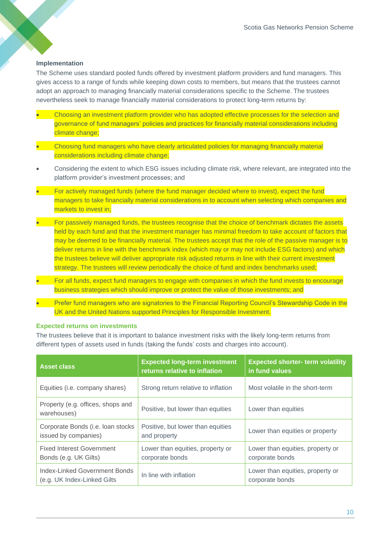#### **Implementation**

The Scheme uses standard pooled funds offered by investment platform providers and fund managers. This gives access to a range of funds while keeping down costs to members, but means that the trustees cannot adopt an approach to managing financially material considerations specific to the Scheme. The trustees nevertheless seek to manage financially material considerations to protect long-term returns by:

- Choosing an investment platform provider who has adopted effective processes for the selection and governance of fund managers' policies and practices for financially material considerations including climate change:
- Choosing fund managers who have clearly articulated policies for managing financially material considerations including climate change;
- Considering the extent to which ESG issues including climate risk, where relevant, are integrated into the platform provider's investment processes; and
- For actively managed funds (where the fund manager decided where to invest), expect the fund managers to take financially material considerations in to account when selecting which companies and markets to invest in;
- For passively managed funds, the trustees recognise that the choice of benchmark dictates the assets held by each fund and that the investment manager has minimal freedom to take account of factors that may be deemed to be financially material. The trustees accept that the role of the passive manager is to deliver returns in line with the benchmark index (which may or may not include ESG factors) and which the trustees believe will deliver appropriate risk adjusted returns in line with their current investment strategy. The trustees will review periodically the choice of fund and index benchmarks used;
- For all funds, expect fund managers to engage with companies in which the fund invests to encourage business strategies which should improve or protect the value of those investments; and
- Prefer fund managers who are signatories to the Financial Reporting Council's Stewardship Code in the UK and the United Nations supported Principles for Responsible Investment.

#### **Expected returns on investments**

The trustees believe that it is important to balance investment risks with the likely long-term returns from different types of assets used in funds (taking the funds' costs and charges into account).

| <b>Asset class</b>                                            | <b>Expected long-term investment</b><br>returns relative to inflation | <b>Expected shorter- term volatility</b><br>in fund values |
|---------------------------------------------------------------|-----------------------------------------------------------------------|------------------------------------------------------------|
| Equities (i.e. company shares)                                | Strong return relative to inflation                                   | Most volatile in the short-term                            |
| Property (e.g. offices, shops and<br>warehouses)              | Positive, but lower than equities                                     | Lower than equities                                        |
| Corporate Bonds (i.e. loan stocks<br>issued by companies)     | Positive, but lower than equities<br>and property                     | Lower than equities or property                            |
| <b>Fixed Interest Government</b><br>Bonds (e.g. UK Gilts)     | Lower than equities, property or<br>corporate bonds                   | Lower than equities, property or<br>corporate bonds        |
| Index-Linked Government Bonds<br>(e.g. UK Index-Linked Gilts) | In line with inflation                                                | Lower than equities, property or<br>corporate bonds        |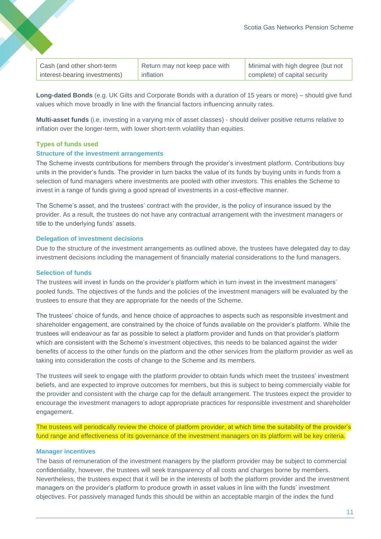| Cash (and other short-term    | Return may not keep pace with | Minimal with high degree (but not |
|-------------------------------|-------------------------------|-----------------------------------|
| interest-bearing investments) | inflation                     | complete) of capital security     |

**Long-dated Bonds** (e.g. UK Gilts and Corporate Bonds with a duration of 15 years or more) – should give fund values which move broadly in line with the financial factors influencing annuity rates.

**Multi-asset funds** (i.e. investing in a varying mix of asset classes) - should deliver positive returns relative to inflation over the longer-term, with lower short-term volatility than equities.

#### **Types of funds used**

#### **Structure of the investment arrangements**

The Scheme invests contributions for members through the provider's investment platform. Contributions buy units in the provider's funds. The provider in turn backs the value of its funds by buying units in funds from a selection of fund managers where investments are pooled with other investors. This enables the Scheme to invest in a range of funds giving a good spread of investments in a cost-effective manner.

The Scheme's asset, and the trustees' contract with the provider, is the policy of insurance issued by the provider. As a result, the trustees do not have any contractual arrangement with the investment managers or title to the underlying funds' assets.

#### **Delegation of investment decisions**

Due to the structure of the investment arrangements as outlined above, the trustees have delegated day to day investment decisions including the management of financially material considerations to the fund managers.

#### **Selection of funds**

The trustees will invest in funds on the provider's platform which in turn invest in the investment managers' pooled funds. The objectives of the funds and the policies of the investment managers will be evaluated by the trustees to ensure that they are appropriate for the needs of the Scheme.

The trustees' choice of funds, and hence choice of approaches to aspects such as responsible investment and shareholder engagement, are constrained by the choice of funds available on the provider's platform. While the trustees will endeavour as far as possible to select a platform provider and funds on that provider's platform which are consistent with the Scheme's investment objectives, this needs to be balanced against the wider benefits of access to the other funds on the platform and the other services from the platform provider as well as taking into consideration the costs of change to the Scheme and its members.

The trustees will seek to engage with the platform provider to obtain funds which meet the trustees' investment beliefs, and are expected to improve outcomes for members, but this is subject to being commercially viable for the provider and consistent with the charge cap for the default arrangement. The trustees expect the provider to encourage the investment managers to adopt appropriate practices for responsible investment and shareholder engagement.

The trustees will periodically review the choice of platform provider, at which time the suitability of the provider's fund range and effectiveness of its governance of the investment managers on its platform will be key criteria.

#### **Manager incentives**

The basis of remuneration of the investment managers by the platform provider may be subject to commercial confidentiality, however, the trustees will seek transparency of all costs and charges borne by members. Nevertheless, the trustees expect that it will be in the interests of both the platform provider and the investment managers on the provider's platform to produce growth in asset values in line with the funds' investment objectives. For passively managed funds this should be within an acceptable margin of the index the fund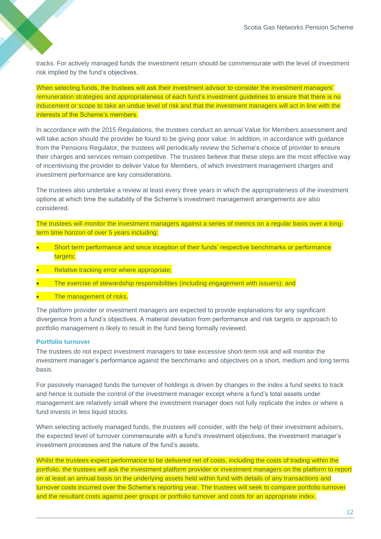tracks. For actively managed funds the investment return should be commensurate with the level of investment risk implied by the fund's objectives.

When selecting funds, the trustees will ask their investment advisor to consider the investment managers' remuneration strategies and appropriateness of each fund's investment guidelines to ensure that there is no inducement or scope to take an undue level of risk and that the investment managers will act in line with the interests of the Scheme's members.

In accordance with the 2015 Regulations, the trustees conduct an annual Value for Members assessment and will take action should the provider be found to be giving poor value. In addition, in accordance with guidance from the Pensions Regulator, the trustees will periodically review the Scheme's choice of provider to ensure their charges and services remain competitive. The trustees believe that these steps are the most effective way of incentivising the provider to deliver Value for Members, of which investment management charges and investment performance are key considerations.

The trustees also undertake a review at least every three years in which the appropriateness of the investment options at which time the suitability of the Scheme's investment management arrangements are also considered.

The trustees will monitor the investment managers against a series of metrics on a regular basis over a longterm time horizon of over 5 years including:

- Short term performance and since inception of their funds' respective benchmarks or performance targets:
- Relative tracking error where appropriate;
- The exercise of stewardship responsibilities (including engagement with issuers); and
- The management of risks.

The platform provider or investment managers are expected to provide explanations for any significant divergence from a fund's objectives. A material deviation from performance and risk targets or approach to portfolio management is likely to result in the fund being formally reviewed.

#### **Portfolio turnover**

The trustees do not expect investment managers to take excessive short-term risk and will monitor the investment manager's performance against the benchmarks and objectives on a short, medium and long terms basis.

For passively managed funds the turnover of holdings is driven by changes in the index a fund seeks to track and hence is outside the control of the investment manager except where a fund's total assets under management are relatively small where the investment manager does not fully replicate the index or where a fund invests in less liquid stocks.

When selecting actively managed funds, the trustees will consider, with the help of their investment advisers, the expected level of turnover commensurate with a fund's investment objectives, the investment manager's investment processes and the nature of the fund's assets.

Whilst the trustees expect performance to be delivered net of costs, including the costs of trading within the portfolio, the trustees will ask the investment platform provider or investment managers on the platform to report on at least an annual basis on the underlying assets held within fund with details of any transactions and turnover costs incurred over the Scheme's reporting year. The trustees will seek to compare portfolio turnover and the resultant costs against peer groups or portfolio turnover and costs for an appropriate index.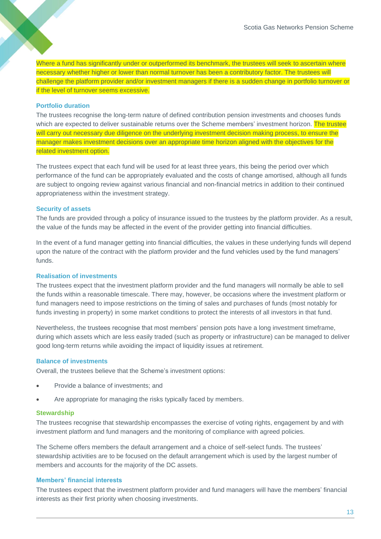Where a fund has significantly under or outperformed its benchmark, the trustees will seek to ascertain where necessary whether higher or lower than normal turnover has been a contributory factor. The trustees will challenge the platform provider and/or investment managers if there is a sudden change in portfolio turnover or if the level of turnover seems excessive.

#### **Portfolio duration**

The trustees recognise the long-term nature of defined contribution pension investments and chooses funds which are expected to deliver sustainable returns over the Scheme members' investment horizon. The trustee will carry out necessary due diligence on the underlying investment decision making process, to ensure the manager makes investment decisions over an appropriate time horizon aligned with the objectives for the related investment option.

The trustees expect that each fund will be used for at least three years, this being the period over which performance of the fund can be appropriately evaluated and the costs of change amortised, although all funds are subject to ongoing review against various financial and non-financial metrics in addition to their continued appropriateness within the investment strategy.

#### **Security of assets**

The funds are provided through a policy of insurance issued to the trustees by the platform provider. As a result, the value of the funds may be affected in the event of the provider getting into financial difficulties.

In the event of a fund manager getting into financial difficulties, the values in these underlying funds will depend upon the nature of the contract with the platform provider and the fund vehicles used by the fund managers' funds.

#### **Realisation of investments**

The trustees expect that the investment platform provider and the fund managers will normally be able to sell the funds within a reasonable timescale. There may, however, be occasions where the investment platform or fund managers need to impose restrictions on the timing of sales and purchases of funds (most notably for funds investing in property) in some market conditions to protect the interests of all investors in that fund.

Nevertheless, the trustees recognise that most members' pension pots have a long investment timeframe, during which assets which are less easily traded (such as property or infrastructure) can be managed to deliver good long-term returns while avoiding the impact of liquidity issues at retirement.

#### **Balance of investments**

Overall, the trustees believe that the Scheme's investment options:

- Provide a balance of investments; and
- Are appropriate for managing the risks typically faced by members.

#### **Stewardship**

The trustees recognise that stewardship encompasses the exercise of voting rights, engagement by and with investment platform and fund managers and the monitoring of compliance with agreed policies.

The Scheme offers members the default arrangement and a choice of self-select funds. The trustees' stewardship activities are to be focused on the default arrangement which is used by the largest number of members and accounts for the majority of the DC assets.

#### **Members' financial interests**

The trustees expect that the investment platform provider and fund managers will have the members' financial interests as their first priority when choosing investments.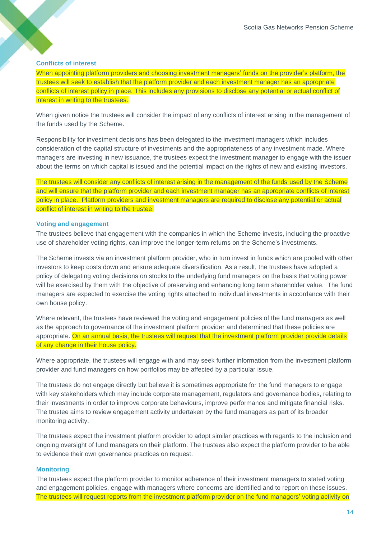#### **Conflicts of interest**

When appointing platform providers and choosing investment managers' funds on the provider's platform, the trustees will seek to establish that the platform provider and each investment manager has an appropriate conflicts of interest policy in place. This includes any provisions to disclose any potential or actual conflict of interest in writing to the trustees.

When given notice the trustees will consider the impact of any conflicts of interest arising in the management of the funds used by the Scheme.

Responsibility for investment decisions has been delegated to the investment managers which includes consideration of the capital structure of investments and the appropriateness of any investment made. Where managers are investing in new issuance, the trustees expect the investment manager to engage with the issuer about the terms on which capital is issued and the potential impact on the rights of new and existing investors.

The trustees will consider any conflicts of interest arising in the management of the funds used by the Scheme and will ensure that the platform provider and each investment manager has an appropriate conflicts of interest policy in place. Platform providers and investment managers are required to disclose any potential or actual conflict of interest in writing to the trustee.

#### **Voting and engagement**

The trustees believe that engagement with the companies in which the Scheme invests, including the proactive use of shareholder voting rights, can improve the longer-term returns on the Scheme's investments.

The Scheme invests via an investment platform provider, who in turn invest in funds which are pooled with other investors to keep costs down and ensure adequate diversification. As a result, the trustees have adopted a policy of delegating voting decisions on stocks to the underlying fund managers on the basis that voting power will be exercised by them with the objective of preserving and enhancing long term shareholder value. The fund managers are expected to exercise the voting rights attached to individual investments in accordance with their own house policy.

Where relevant, the trustees have reviewed the voting and engagement policies of the fund managers as well as the approach to governance of the investment platform provider and determined that these policies are appropriate. On an annual basis, the trustees will request that the investment platform provider provide details of any change in their house policy.

Where appropriate, the trustees will engage with and may seek further information from the investment platform provider and fund managers on how portfolios may be affected by a particular issue.

The trustees do not engage directly but believe it is sometimes appropriate for the fund managers to engage with key stakeholders which may include corporate management, regulators and governance bodies, relating to their investments in order to improve corporate behaviours, improve performance and mitigate financial risks. The trustee aims to review engagement activity undertaken by the fund managers as part of its broader monitoring activity.

The trustees expect the investment platform provider to adopt similar practices with regards to the inclusion and ongoing oversight of fund managers on their platform. The trustees also expect the platform provider to be able to evidence their own governance practices on request.

#### **Monitoring**

The trustees expect the platform provider to monitor adherence of their investment managers to stated voting and engagement policies, engage with managers where concerns are identified and to report on these issues. The trustees will request reports from the investment platform provider on the fund managers' voting activity on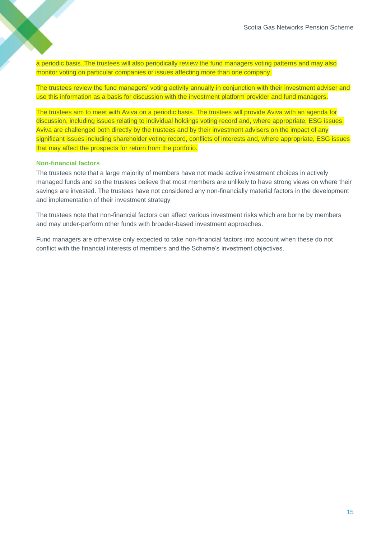a periodic basis. The trustees will also periodically review the fund managers voting patterns and may also monitor voting on particular companies or issues affecting more than one company.

The trustees review the fund managers' voting activity annually in conjunction with their investment adviser and use this information as a basis for discussion with the investment platform provider and fund managers.

The trustees aim to meet with Aviva on a periodic basis. The trustees will provide Aviva with an agenda for discussion, including issues relating to individual holdings voting record and, where appropriate, ESG issues. Aviva are challenged both directly by the trustees and by their investment advisers on the impact of any significant issues including shareholder voting record, conflicts of interests and, where appropriate, ESG issues that may affect the prospects for return from the portfolio.

#### **Non-financial factors**

The trustees note that a large majority of members have not made active investment choices in actively managed funds and so the trustees believe that most members are unlikely to have strong views on where their savings are invested. The trustees have not considered any non-financially material factors in the development and implementation of their investment strategy

The trustees note that non-financial factors can affect various investment risks which are borne by members and may under-perform other funds with broader-based investment approaches.

Fund managers are otherwise only expected to take non-financial factors into account when these do not conflict with the financial interests of members and the Scheme's investment objectives.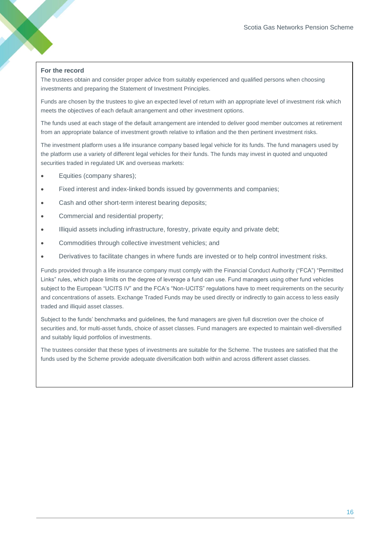#### **For the record**

The trustees obtain and consider proper advice from suitably experienced and qualified persons when choosing investments and preparing the Statement of Investment Principles.

Funds are chosen by the trustees to give an expected level of return with an appropriate level of investment risk which meets the objectives of each default arrangement and other investment options.

The funds used at each stage of the default arrangement are intended to deliver good member outcomes at retirement from an appropriate balance of investment growth relative to inflation and the then pertinent investment risks.

The investment platform uses a life insurance company based legal vehicle for its funds. The fund managers used by the platform use a variety of different legal vehicles for their funds. The funds may invest in quoted and unquoted securities traded in regulated UK and overseas markets:

- Equities (company shares);
- Fixed interest and index-linked bonds issued by governments and companies;
- Cash and other short-term interest bearing deposits;
- Commercial and residential property;
- Illiquid assets including infrastructure, forestry, private equity and private debt;
- Commodities through collective investment vehicles; and
- Derivatives to facilitate changes in where funds are invested or to help control investment risks.

Funds provided through a life insurance company must comply with the Financial Conduct Authority ("FCA") "Permitted Links" rules, which place limits on the degree of leverage a fund can use. Fund managers using other fund vehicles subject to the European "UCITS IV" and the FCA's "Non-UCITS" regulations have to meet requirements on the security and concentrations of assets. Exchange Traded Funds may be used directly or indirectly to gain access to less easily traded and illiquid asset classes.

Subject to the funds' benchmarks and guidelines, the fund managers are given full discretion over the choice of securities and, for multi-asset funds, choice of asset classes. Fund managers are expected to maintain well-diversified and suitably liquid portfolios of investments.

The trustees consider that these types of investments are suitable for the Scheme. The trustees are satisfied that the funds used by the Scheme provide adequate diversification both within and across different asset classes.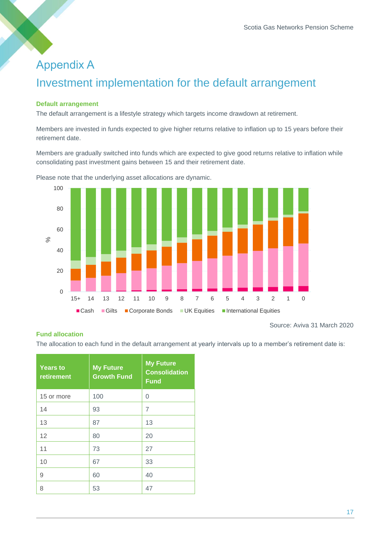# Appendix A Investment implementation for the default arrangement

#### **Default arrangement**

The default arrangement is a lifestyle strategy which targets income drawdown at retirement.

Members are invested in funds expected to give higher returns relative to inflation up to 15 years before their retirement date.

Members are gradually switched into funds which are expected to give good returns relative to inflation while consolidating past investment gains between 15 and their retirement date.



Please note that the underlying asset allocations are dynamic.

#### **Fund allocation**

Source: Aviva 31 March 2020

The allocation to each fund in the default arrangement at yearly intervals up to a member's retirement date is:

| <b>Years to</b><br>retirement | <b>My Future</b><br><b>Growth Fund</b> | <b>My Future</b><br><b>Consolidation</b><br><b>Fund</b> |
|-------------------------------|----------------------------------------|---------------------------------------------------------|
| 15 or more                    | 100                                    | 0                                                       |
| 14                            | 93                                     | 7                                                       |
| 13                            | 87                                     | 13                                                      |
| 12                            | 80                                     | 20                                                      |
| 11                            | 73                                     | 27                                                      |
| 10                            | 67                                     | 33                                                      |
| 9                             | 60                                     | 40                                                      |
| 8                             | 53                                     | 47                                                      |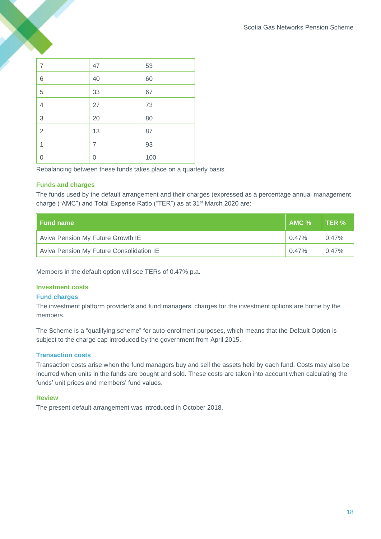| 7              | 47             | 53  |
|----------------|----------------|-----|
| $\,$ 6 $\,$    | 40             | 60  |
| 5              | 33             | 67  |
| $\overline{4}$ | 27             | 73  |
| 3              | 20             | 80  |
| $\overline{2}$ | 13             | 87  |
| 1              | $\overline{7}$ | 93  |
| 0              | 0              | 100 |

Rebalancing between these funds takes place on a quarterly basis.

#### **Funds and charges**

The funds used by the default arrangement and their charges (expressed as a percentage annual management charge ("AMC") and Total Expense Ratio ("TER") as at 31st March 2020 are:

| <b>Fund name</b>                         | $AMC$ %  | TER %    |
|------------------------------------------|----------|----------|
| Aviva Pension My Future Growth IE        | $0.47\%$ | 0.47%    |
| Aviva Pension My Future Consolidation IE | $0.47\%$ | $0.47\%$ |

Members in the default option will see TERs of 0.47% p.a.

#### **Investment costs**

#### **Fund charges**

The investment platform provider's and fund managers' charges for the investment options are borne by the members.

The Scheme is a "qualifying scheme" for auto-enrolment purposes, which means that the Default Option is subject to the charge cap introduced by the government from April 2015.

#### **Transaction costs**

Transaction costs arise when the fund managers buy and sell the assets held by each fund. Costs may also be incurred when units in the funds are bought and sold. These costs are taken into account when calculating the funds' unit prices and members' fund values.

#### **Review**

The present default arrangement was introduced in October 2018.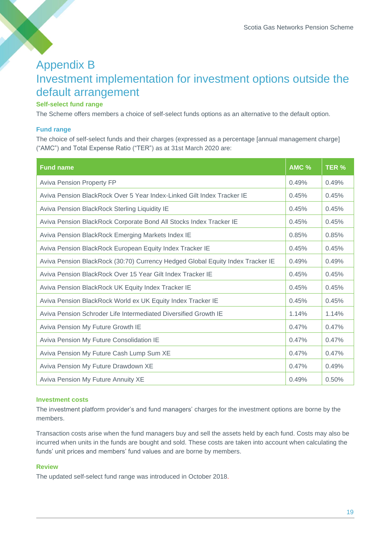# Appendix B Investment implementation for investment options outside the default arrangement

#### **Self-select fund range**

The Scheme offers members a choice of self-select funds options as an alternative to the default option.

#### **Fund range**

The choice of self-select funds and their charges (expressed as a percentage [annual management charge] ("AMC") and Total Expense Ratio ("TER") as at 31st March 2020 are:

| <b>Fund name</b>                                                               | <b>AMC %</b> | TER % |
|--------------------------------------------------------------------------------|--------------|-------|
| <b>Aviva Pension Property FP</b>                                               | 0.49%        | 0.49% |
| Aviva Pension BlackRock Over 5 Year Index-Linked Gilt Index Tracker IE         | 0.45%        | 0.45% |
| Aviva Pension BlackRock Sterling Liquidity IE                                  | 0.45%        | 0.45% |
| Aviva Pension BlackRock Corporate Bond All Stocks Index Tracker IE             | 0.45%        | 0.45% |
| Aviva Pension BlackRock Emerging Markets Index IE                              | 0.85%        | 0.85% |
| Aviva Pension BlackRock European Equity Index Tracker IE                       | 0.45%        | 0.45% |
| Aviva Pension BlackRock (30:70) Currency Hedged Global Equity Index Tracker IE | 0.49%        | 0.49% |
| Aviva Pension BlackRock Over 15 Year Gilt Index Tracker IE                     | 0.45%        | 0.45% |
| Aviva Pension BlackRock UK Equity Index Tracker IE                             | 0.45%        | 0.45% |
| Aviva Pension BlackRock World ex UK Equity Index Tracker IE                    | 0.45%        | 0.45% |
| Aviva Pension Schroder Life Intermediated Diversified Growth IE                | 1.14%        | 1.14% |
| Aviva Pension My Future Growth IE                                              | 0.47%        | 0.47% |
| Aviva Pension My Future Consolidation IE                                       | 0.47%        | 0.47% |
| Aviva Pension My Future Cash Lump Sum XE                                       | 0.47%        | 0.47% |
| Aviva Pension My Future Drawdown XE                                            | 0.47%        | 0.49% |
| Aviva Pension My Future Annuity XE                                             | 0.49%        | 0.50% |

#### **Investment costs**

The investment platform provider's and fund managers' charges for the investment options are borne by the members.

Transaction costs arise when the fund managers buy and sell the assets held by each fund. Costs may also be incurred when units in the funds are bought and sold. These costs are taken into account when calculating the funds' unit prices and members' fund values and are borne by members.

#### **Review**

The updated self-select fund range was introduced in October 2018.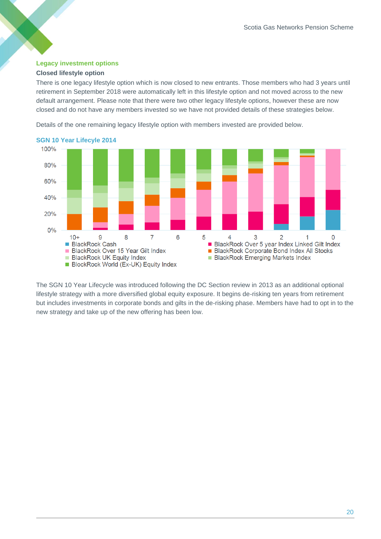#### **Legacy investment options**

#### **Closed lifestyle option**

There is one legacy lifestyle option which is now closed to new entrants. Those members who had 3 years until retirement in September 2018 were automatically left in this lifestyle option and not moved across to the new default arrangement. Please note that there were two other legacy lifestyle options, however these are now closed and do not have any members invested so we have not provided details of these strategies below.

Details of the one remaining legacy lifestyle option with members invested are provided below.



#### **SGN 10 Year Lifecyle 2014**

The SGN 10 Year Lifecycle was introduced following the DC Section review in 2013 as an additional optional lifestyle strategy with a more diversified global equity exposure. It begins de-risking ten years from retirement but includes investments in corporate bonds and gilts in the de-risking phase. Members have had to opt in to the new strategy and take up of the new offering has been low.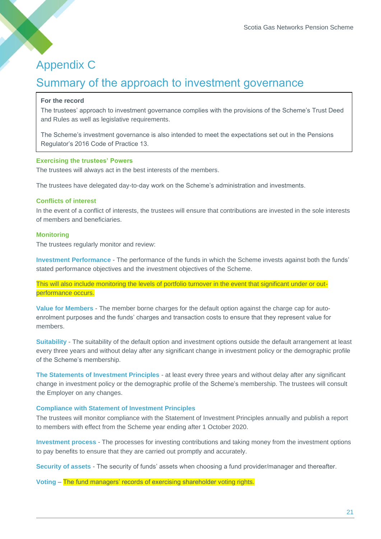## Appendix C

### Summary of the approach to investment governance

#### **For the record**

The trustees' approach to investment governance complies with the provisions of the Scheme's Trust Deed and Rules as well as legislative requirements.

The Scheme's investment governance is also intended to meet the expectations set out in the Pensions Regulator's 2016 Code of Practice 13.

#### **Exercising the trustees' Powers**

The trustees will always act in the best interests of the members.

The trustees have delegated day-to-day work on the Scheme's administration and investments.

#### **Conflicts of interest**

In the event of a conflict of interests, the trustees will ensure that contributions are invested in the sole interests of members and beneficiaries.

#### **Monitoring**

The trustees regularly monitor and review:

**Investment Performance** - The performance of the funds in which the Scheme invests against both the funds' stated performance objectives and the investment objectives of the Scheme.

This will also include monitoring the levels of portfolio turnover in the event that significant under or outperformance occurs.

**Value for Members** - The member borne charges for the default option against the charge cap for autoenrolment purposes and the funds' charges and transaction costs to ensure that they represent value for members.

**Suitability** - The suitability of the default option and investment options outside the default arrangement at least every three years and without delay after any significant change in investment policy or the demographic profile of the Scheme's membership.

**The Statements of Investment Principles** - at least every three years and without delay after any significant change in investment policy or the demographic profile of the Scheme's membership. The trustees will consult the Employer on any changes.

#### **Compliance with Statement of Investment Principles**

The trustees will monitor compliance with the Statement of Investment Principles annually and publish a report to members with effect from the Scheme year ending after 1 October 2020.

**Investment process** - The processes for investing contributions and taking money from the investment options to pay benefits to ensure that they are carried out promptly and accurately.

**Security of assets** - The security of funds' assets when choosing a fund provider/manager and thereafter.

**Voting** – The fund managers' records of exercising shareholder voting rights.